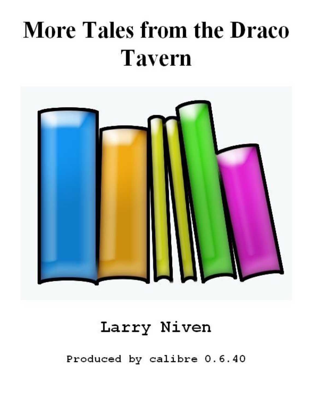## **More Tales from the Draco Tavern**



## Larry Niven

Produced by calibre 0.6.40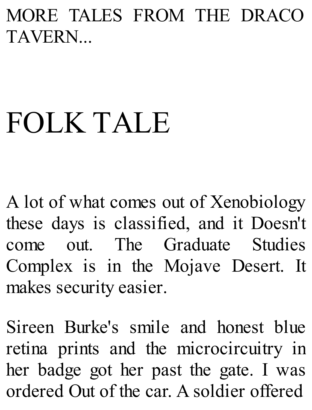MORE TALES FROM THE DRACO TAVERN...

## FOLK TALE

A lot of what comes out of Xenobiology these days is classified, and it Doesn't come out. The Graduate Studies Complex is in the Mojave Desert. It makes security easier.

Sireen Burke's smile and honest blue retina prints and the microcircuitry in her badge got her past the gate. I was ordered Out of the car. A soldier offered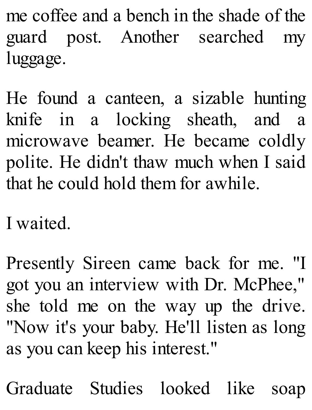me coffee and a bench in the shade of the guard post. Another searched my luggage.

He found a canteen, a sizable hunting knife in a locking sheath, and a microwave beamer. He became coldly polite. He didn't thaw much when I said that he could hold them for awhile.

I waited.

Presently Sireen came back for me. "I got you an interview with Dr. McPhee," she told me on the way up the drive. "Now it's your baby. He'll listen as long as you can keep his interest."

Graduate Studies looked like soap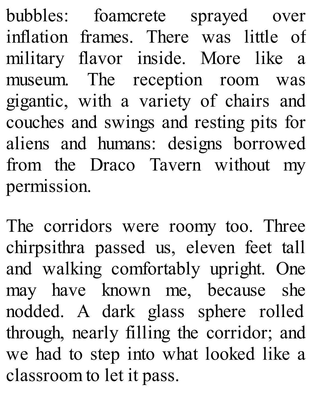bubbles: foamcrete sprayed over inflation frames. There was little of military flavor inside. More like a museum. The reception room was gigantic, with a variety of chairs and couches and swings and resting pits for aliens and humans: designs borrowed from the Draco Tavern without my permission.

The corridors were roomy too. Three chirpsithra passed us, eleven feet tall and walking comfortably upright. One may have known me, because she nodded. A dark glass sphere rolled through, nearly filling the corridor; and we had to step into what looked like a classroom to let it pass.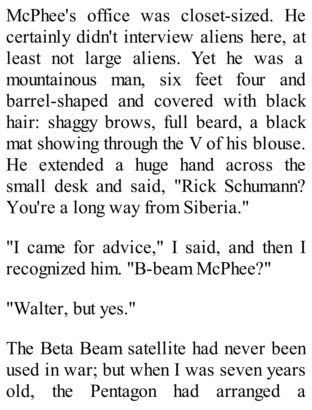McPhee's office was closet-sized. He certainly didn't interview aliens here, at least not large aliens. Yet he was a mountainous man, six feet four and barrel-shaped and covered with black hair: shaggy brows, full beard, a black mat showing through the V of his blouse. He extended a huge hand across the small desk and said, "Rick Schumann? You're a long way from Siberia."

"I came for advice," I said, and then I recognized him. "B-beam McPhee?"

"Walter, but yes."

The Beta Beam satellite had never been used in war; but when I was seven years old, the Pentagon had arranged a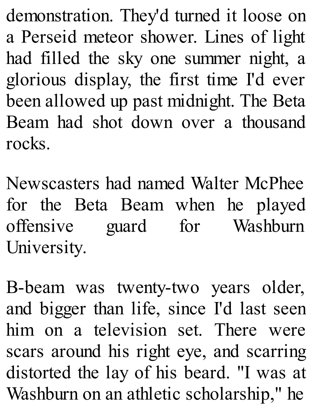demonstration. They'd turned it loose on a Perseid meteor shower. Lines of light had filled the sky one summer night, a glorious display, the first time I'd ever been allowed up past midnight. The Beta Beam had shot down over a thousand rocks.

Newscasters had named Walter McPhee for the Beta Beam when he played offensive guard for Washburn University.

B-beam was twenty-two years older, and bigger than life, since I'd last seen him on a television set. There were scars around his right eye, and scarring distorted the lay of his beard. "I was at Washburn on an athletic scholarship," he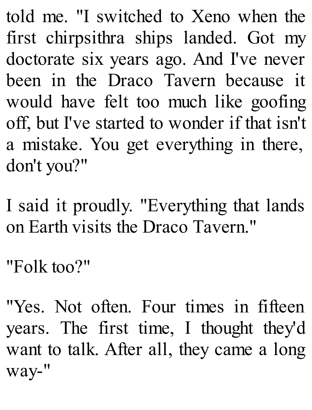told me. "I switched to Xeno when the first chirpsithra ships landed. Got my doctorate six years ago. And I've never been in the Draco Tavern because it would have felt too much like goofing off, but I've started to wonder if that isn't a mistake. You get everything in there, don't you?"

I said it proudly. "Everything that lands on Earth visits the Draco Tavern."

```
"Folk too?"
```
"Yes. Not often. Four times in fifteen years. The first time, I thought they'd want to talk. After all, they came a long way-"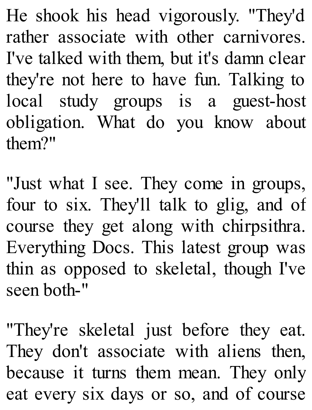He shook his head vigorously. "They'd rather associate with other carnivores. I've talked with them, but it's damn clear they're not here to have fun. Talking to local study groups is a guest-host obligation. What do you know about them?"

"Just what I see. They come in groups, four to six. They'll talk to glig, and of course they get along with chirpsithra. Everything Docs. This latest group was thin as opposed to skeletal, though I've seen both-"

"They're skeletal just before they eat. They don't associate with aliens then, because it turns them mean. They only eat every six days or so, and of course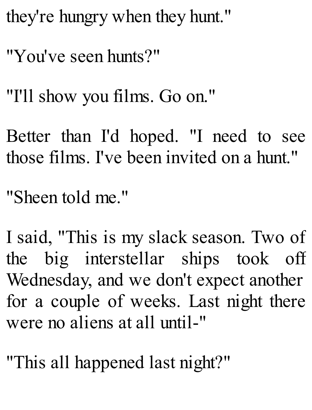they're hungry when they hunt."

"You've seen hunts?"

"I'll show you films. Go on."

Better than I'd hoped. "I need to see those films. I've been invited on a hunt."

"Sheen told me."

I said, "This is my slack season. Two of the big interstellar ships took off Wednesday, and we don't expect another for a couple of weeks. Last night there were no aliens at all until-"

"This all happened last night?"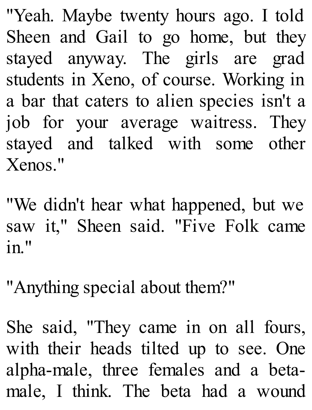"Yeah. Maybe twenty hours ago. I told Sheen and Gail to go home, but they stayed anyway. The girls are grad students in Xeno, of course. Working in a bar that caters to alien species isn't a job for your average waitress. They stayed and talked with some other Xenos."

"We didn't hear what happened, but we saw it," Sheen said. "Five Folk came in."

"Anything special about them?"

She said, "They came in on all fours, with their heads tilted up to see. One alpha-male, three females and a betamale, I think. The beta had a wound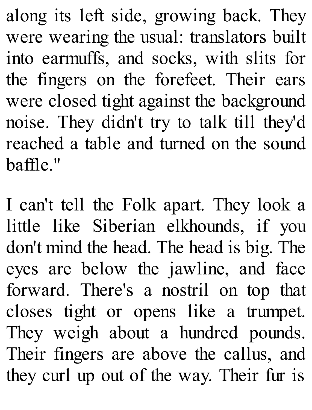along its left side, growing back. They were wearing the usual: translators built into earmuffs, and socks, with slits for the fingers on the forefeet. Their ears were closed tight against the background noise. They didn't try to talk till they'd reached a table and turned on the sound baffle."

I can't tell the Folk apart. They look a little like Siberian elkhounds, if you don't mind the head. The head is big. The eyes are below the jawline, and face forward. There's a nostril on top that closes tight or opens like a trumpet. They weigh about a hundred pounds. Their fingers are above the callus, and they curl up out of the way. Their fur is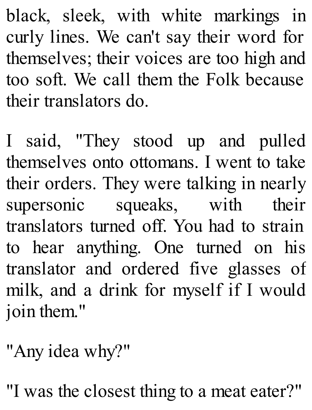black, sleek, with white markings in curly lines. We can't say their word for themselves; their voices are too high and too soft. We call them the Folk because their translators do.

I said, "They stood up and pulled themselves onto ottomans. I went to take their orders. They were talking in nearly supersonic squeaks, with their translators turned off. You had to strain to hear anything. One turned on his translator and ordered five glasses of milk, and a drink for myself if I would join them."

"Any idea why?"

"I was the closest thing to a meat eater?"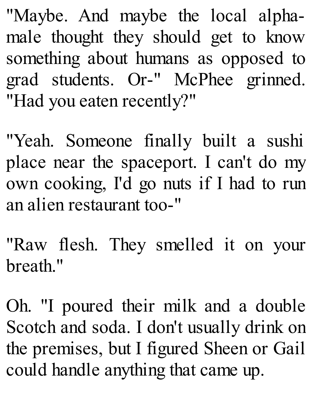"Maybe. And maybe the local alphamale thought they should get to know something about humans as opposed to grad students. Or-" McPhee grinned. "Had you eaten recently?"

"Yeah. Someone finally built a sushi place near the spaceport. I can't do my own cooking, I'd go nuts if I had to run an alien restaurant too-"

"Raw flesh. They smelled it on your breath."

Oh. "I poured their milk and a double Scotch and soda. I don't usually drink on the premises, but I figured Sheen or Gail could handle anything that came up.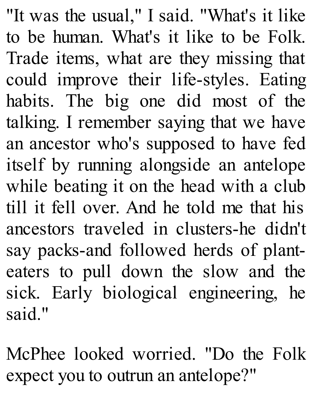"It was the usual," I said. "What's it like to be human. What's it like to be Folk. Trade items, what are they missing that could improve their life-styles. Eating habits. The big one did most of the talking. I remember saying that we have an ancestor who's supposed to have fed itself by running alongside an antelope while beating it on the head with a club till it fell over. And he told me that his ancestors traveled in clusters-he didn't say packs-and followed herds of planteaters to pull down the slow and the sick. Early biological engineering, he said."

McPhee looked worried. "Do the Folk expect you to outrun an antelope?"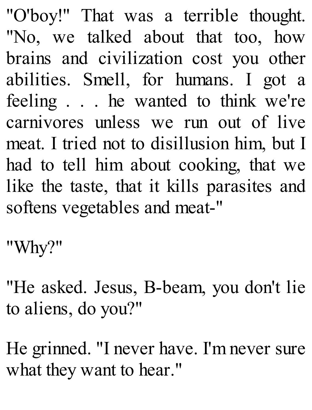"O'boy!" That was a terrible thought. "No, we talked about that too, how brains and civilization cost you other abilities. Smell, for humans. I got a feeling . . . he wanted to think we're carnivores unless we run out of live meat. I tried not to disillusion him, but I had to tell him about cooking, that we like the taste, that it kills parasites and softens vegetables and meat-"

"Why?"

"He asked. Jesus, B-beam, you don't lie to aliens, do you?"

He grinned. "I never have. I'm never sure what they want to hear."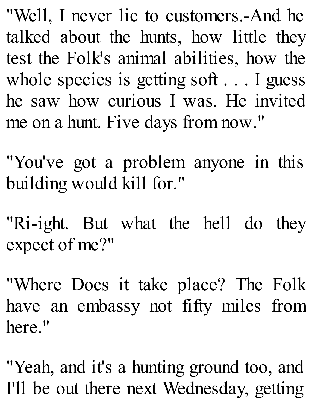"Well, I never lie to customers.-And he talked about the hunts, how little they test the Folk's animal abilities, how the whole species is getting soft . . . I guess he saw how curious I was. He invited me on a hunt. Five days from now."

"You've got a problem anyone in this building would kill for."

"Ri-ight. But what the hell do they expect of me?"

"Where Docs it take place? The Folk have an embassy not fifty miles from here."

"Yeah, and it's a hunting ground too, and I'll be out there next Wednesday, getting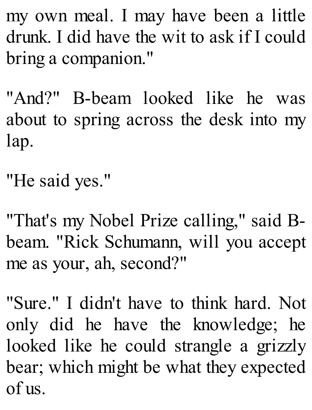my own meal. I may have been a little drunk. I did have the wit to ask if I could bring a companion."

"And?" B-beam looked like he was about to spring across the desk into my lap.

"He said yes."

"That's my Nobel Prize calling," said Bbeam. "Rick Schumann, will you accept me as your, ah, second?"

"Sure." I didn't have to think hard. Not only did he have the knowledge; he looked like he could strangle a grizzly bear; which might be what they expected of us.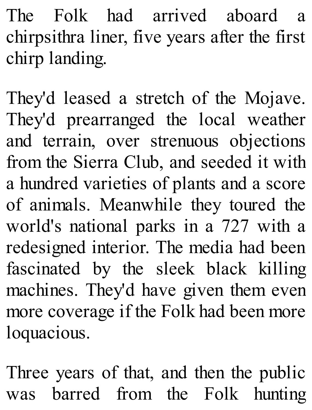The Folk had arrived aboard a chirpsithra liner, five years after the first chirp landing.

They'd leased a stretch of the Mojave. They'd prearranged the local weather and terrain, over strenuous objections from the Sierra Club, and seeded it with a hundred varieties of plants and a score of animals. Meanwhile they toured the world's national parks in a 727 with a redesigned interior. The media had been fascinated by the sleek black killing machines. They'd have given them even more coverage if the Folk had been more loquacious.

Three years of that, and then the public was barred from the Folk hunting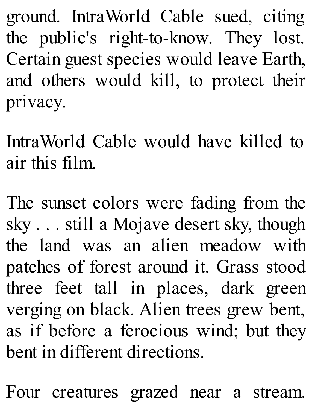ground. IntraWorld Cable sued, citing the public's right-to-know. They lost. Certain guest species would leave Earth, and others would kill, to protect their privacy.

IntraWorld Cable would have killed to air this film.

The sunset colors were fading from the sky . . . still a Mojave desert sky, though the land was an alien meadow with patches of forest around it. Grass stood three feet tall in places, dark green verging on black. Alien trees grew bent, as if before a ferocious wind; but they bent in different directions.

Four creatures grazed near a stream.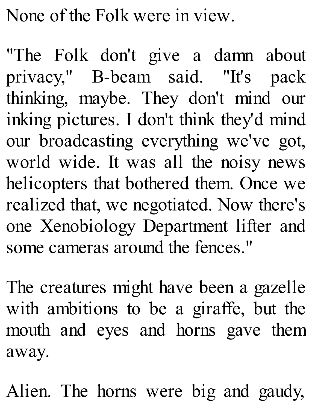None of the Folk were in view.

"The Folk don't give a damn about privacy," B-beam said. "It's pack thinking, maybe. They don't mind our inking pictures. I don't think they'd mind our broadcasting everything we've got, world wide. It was all the noisy news helicopters that bothered them. Once we realized that, we negotiated. Now there's one Xenobiology Department lifter and some cameras around the fences."

The creatures might have been a gazelle with ambitions to be a giraffe, but the mouth and eyes and horns gave them away.

Alien. The horns were big and gaudy,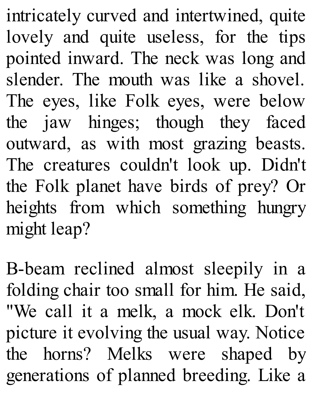intricately curved and intertwined, quite lovely and quite useless, for the tips pointed inward. The neck was long and slender. The mouth was like a shovel. The eyes, like Folk eyes, were below the jaw hinges; though they faced outward, as with most grazing beasts. The creatures couldn't look up. Didn't the Folk planet have birds of prey? Or heights from which something hungry might leap?

B-beam reclined almost sleepily in a folding chair too small for him. He said, "We call it a melk, a mock elk. Don't picture it evolving the usual way. Notice the horns? Melks were shaped by generations of planned breeding. Like a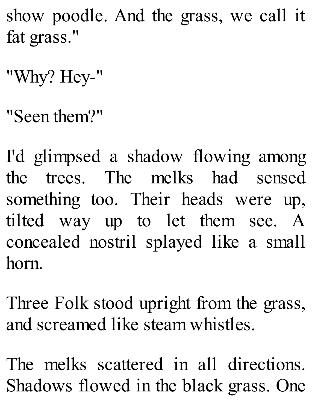show poodle. And the grass, we call it fat grass."

"Why? Hey-"

"Seen them?"

I'd glimpsed a shadow flowing among the trees. The melks had sensed something too. Their heads were up, tilted way up to let them see. A concealed nostril splayed like a small horn.

Three Folk stood upright from the grass, and screamed like steam whistles.

The melks scattered in all directions. Shadows flowed in the black grass. One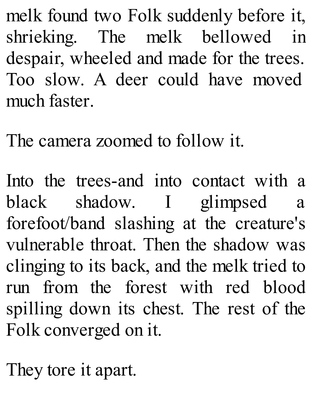melk found two Folk suddenly before it, shrieking. The melk bellowed in despair, wheeled and made for the trees. Too slow. A deer could have moved much faster.

The camera zoomed to follow it.

Into the trees-and into contact with a black shadow. I glimpsed a forefoot/band slashing at the creature's vulnerable throat. Then the shadow was clinging to its back, and the melk tried to run from the forest with red blood spilling down its chest. The rest of the Folk converged on it.

They tore it apart.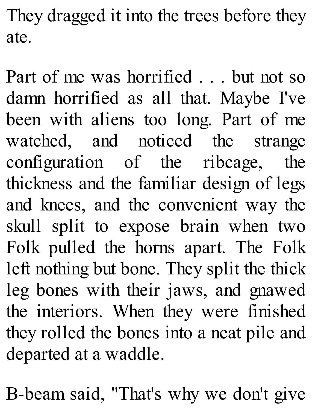They dragged it into the trees before they ate.

Part of me was horrified . . . but not so damn horrified as all that. Maybe I've been with aliens too long. Part of me watched, and noticed the strange configuration of the ribcage, the thickness and the familiar design of legs and knees, and the convenient way the skull split to expose brain when two Folk pulled the horns apart. The Folk left nothing but bone. They split the thick leg bones with their jaws, and gnawed the interiors. When they were finished they rolled the bones into a neat pile and departed at a waddle.

B-beam said, "That's why we don't give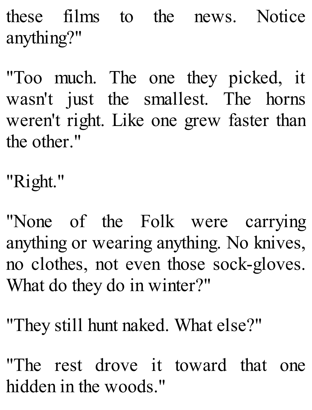these films to the news. Notice anything?"

"Too much. The one they picked, it wasn't just the smallest. The horns weren't right. Like one grew faster than the other."

"Right."

"None of the Folk were carrying anything or wearing anything. No knives, no clothes, not even those sock-gloves. What do they do in winter?"

"They still hunt naked. What else?"

"The rest drove it toward that one hidden in the woods."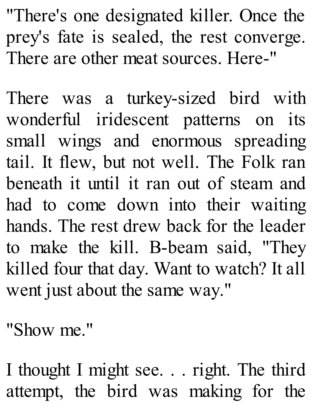"There's one designated killer. Once the prey's fate is sealed, the rest converge. There are other meat sources. Here-"

There was a turkey-sized bird with wonderful iridescent patterns on its small wings and enormous spreading tail. It flew, but not well. The Folk ran beneath it until it ran out of steam and had to come down into their waiting hands. The rest drew back for the leader to make the kill. B-beam said, "They killed four that day. Want to watch? It all went just about the same way."

"Show me."

I thought I might see. . . right. The third attempt, the bird was making for the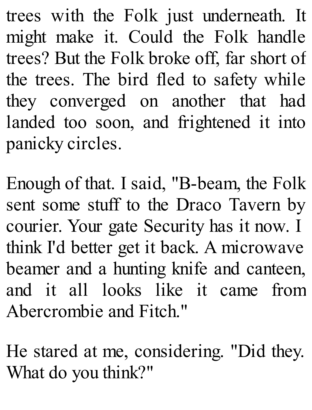trees with the Folk just underneath. It might make it. Could the Folk handle trees? But the Folk broke off, far short of the trees. The bird fled to safety while they converged on another that had landed too soon, and frightened it into panicky circles.

Enough of that. I said, "B-beam, the Folk sent some stuff to the Draco Tavern by courier. Your gate Security has it now. I think I'd better get it back. A microwave beamer and a hunting knife and canteen, and it all looks like it came from Abercrombie and Fitch."

He stared at me, considering. "Did they. What do you think?"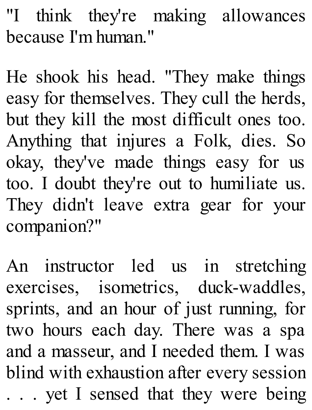"I think they're making allowances because I'm human."

He shook his head. "They make things easy for themselves. They cull the herds, but they kill the most difficult ones too. Anything that injures a Folk, dies. So okay, they've made things easy for us too. I doubt they're out to humiliate us. They didn't leave extra gear for your companion?"

An instructor led us in stretching exercises, isometrics, duck-waddles, sprints, and an hour of just running, for two hours each day. There was a spa and a masseur, and I needed them. I was blind with exhaustion after every session . . . yet I sensed that they were being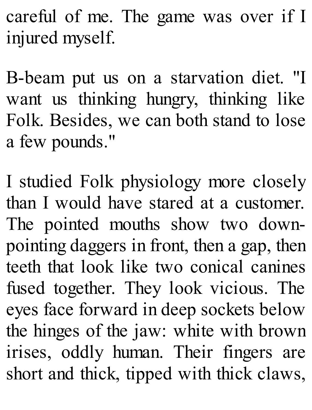careful of me. The game was over if I injured myself.

B-beam put us on a starvation diet. "I want us thinking hungry, thinking like Folk. Besides, we can both stand to lose a few pounds."

I studied Folk physiology more closely than I would have stared at a customer. The pointed mouths show two downpointing daggers in front, then a gap, then teeth that look like two conical canines fused together. They look vicious. The eyes face forward in deep sockets below the hinges of the jaw: white with brown irises, oddly human. Their fingers are short and thick, tipped with thick claws,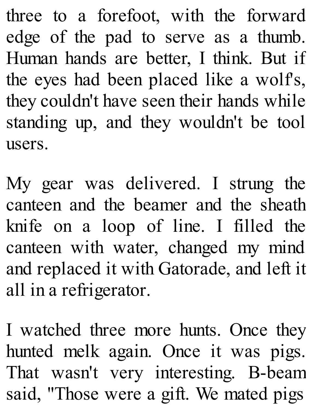three to a forefoot, with the forward edge of the pad to serve as a thumb. Human hands are better, I think. But if the eyes had been placed like a wolf's, they couldn't have seen their hands while standing up, and they wouldn't be tool users.

My gear was delivered. I strung the canteen and the beamer and the sheath knife on a loop of line. I filled the canteen with water, changed my mind and replaced it with Gatorade, and left it all in a refrigerator.

I watched three more hunts. Once they hunted melk again. Once it was pigs. That wasn't very interesting. B-beam said, "Those were a gift. We mated pigs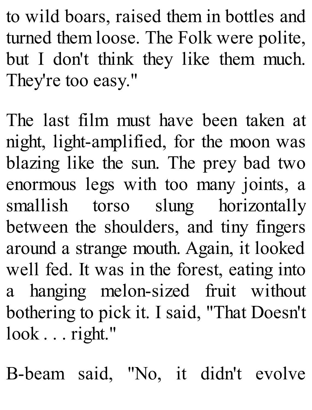to wild boars, raised them in bottles and turned them loose. The Folk were polite, but I don't think they like them much. They're too easy."

The last film must have been taken at night, light-amplified, for the moon was blazing like the sun. The prey bad two enormous legs with too many joints, a smallish torso slung horizontally between the shoulders, and tiny fingers around a strange mouth. Again, it looked well fed. It was in the forest, eating into a hanging melon-sized fruit without bothering to pick it. I said, "That Doesn't look . . . right."

B-beam said, "No, it didn't evolve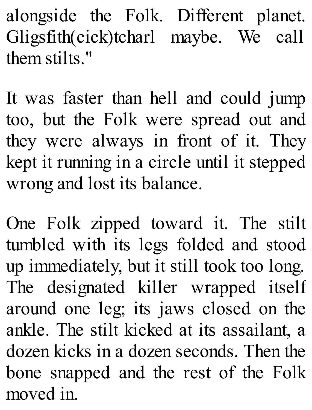alongside the Folk. Different planet. Gligsfith(cick)tcharl maybe. We call them stilts."

It was faster than hell and could jump too, but the Folk were spread out and they were always in front of it. They kept it running in a circle until it stepped wrong and lost its balance.

One Folk zipped toward it. The stilt tumbled with its legs folded and stood up immediately, but it still took too long. The designated killer wrapped itself around one leg; its jaws closed on the ankle. The stilt kicked at its assailant, a dozen kicks in a dozen seconds. Then the bone snapped and the rest of the Folk moved in.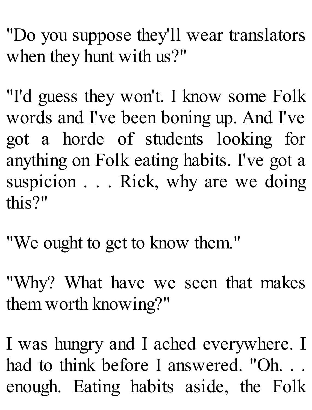"Do you suppose they'll wear translators when they hunt with us?"

"I'd guess they won't. I know some Folk words and I've been boning up. And I've got a horde of students looking for anything on Folk eating habits. I've got a suspicion . . . Rick, why are we doing this?"

"We ought to get to know them."

"Why? What have we seen that makes them worth knowing?"

I was hungry and I ached everywhere. I had to think before I answered. "Oh... enough. Eating habits aside, the Folk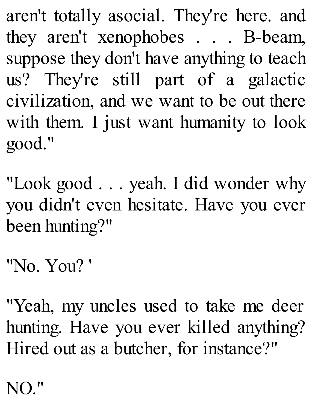aren't totally asocial. They're here. and they aren't xenophobes . . . B-beam, suppose they don't have anything to teach us? They're still part of a galactic civilization, and we want to be out there with them. I just want humanity to look good."

"Look good . . . yeah. I did wonder why you didn't even hesitate. Have you ever been hunting?"

"No. You? '

"Yeah, my uncles used to take me deer hunting. Have you ever killed anything? Hired out as a butcher, for instance?"

NO."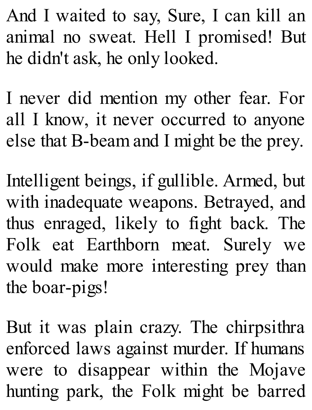And I waited to say, Sure, I can kill an animal no sweat. Hell I promised! But he didn't ask, he only looked.

I never did mention my other fear. For all I know, it never occurred to anyone else that B-beam and I might be the prey.

Intelligent beings, if gullible. Armed, but with inadequate weapons. Betrayed, and thus enraged, likely to fight back. The Folk eat Earthborn meat. Surely we would make more interesting prey than the boar-pigs!

But it was plain crazy. The chirpsithra enforced laws against murder. If humans were to disappear within the Mojave hunting park, the Folk might be barred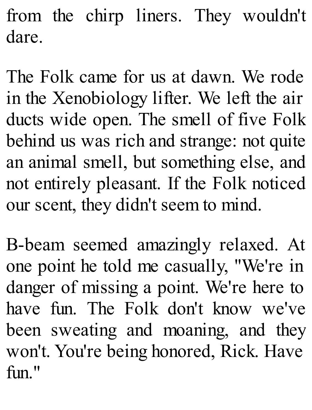from the chirp liners. They wouldn't dare.

The Folk came for us at dawn. We rode in the Xenobiology lifter. We left the air ducts wide open. The smell of five Folk behind us was rich and strange: not quite an animal smell, but something else, and not entirely pleasant. If the Folk noticed our scent, they didn't seem to mind.

B-beam seemed amazingly relaxed. At one point he told me casually, "We're in danger of missing a point. We're here to have fun. The Folk don't know we've been sweating and moaning, and they won't. You're being honored, Rick. Have  $fin$ "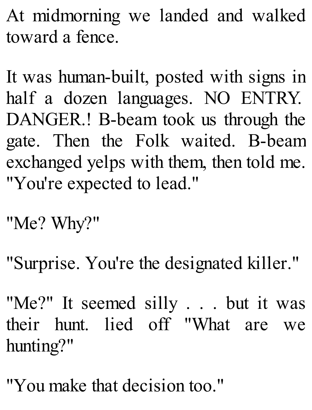At midmorning we landed and walked toward a fence.

It was human-built, posted with signs in half a dozen languages. NO ENTRY. DANGER.! B-beam took us through the gate. Then the Folk waited. B-beam exchanged yelps with them, then told me. "You're expected to lead."

"Me? Why?"

"Surprise. You're the designated killer."

"Me?" It seemed silly . . . but it was their hunt. lied off "What are we hunting?"

"You make that decision too."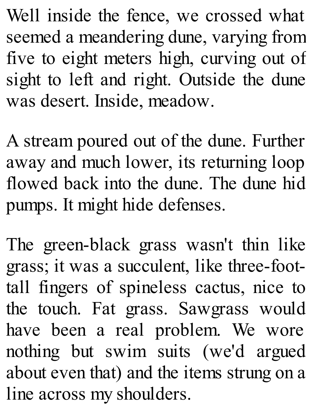Well inside the fence, we crossed what seemed a meandering dune, varying from five to eight meters high, curving out of sight to left and right. Outside the dune was desert. Inside, meadow.

A stream poured out of the dune. Further away and much lower, its returning loop flowed back into the dune. The dune hid pumps. It might hide defenses.

The green-black grass wasn't thin like grass; it was a succulent, like three-foottall fingers of spineless cactus, nice to the touch. Fat grass. Sawgrass would have been a real problem. We wore nothing but swim suits (we'd argued about even that) and the items strung on a line across my shoulders.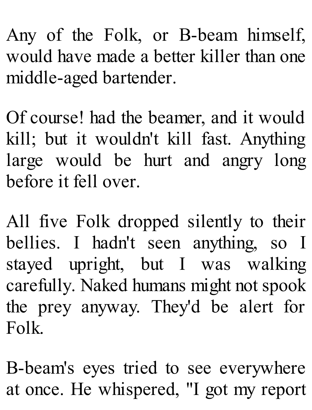Any of the Folk, or B-beam himself, would have made a better killer than one middle-aged bartender.

Of course! had the beamer, and it would kill; but it wouldn't kill fast. Anything large would be hurt and angry long before it fell over.

All five Folk dropped silently to their bellies. I hadn't seen anything, so I stayed upright, but I was walking carefully. Naked humans might not spook the prey anyway. They'd be alert for Folk.

B-beam's eyes tried to see everywhere at once. He whispered, "I got my report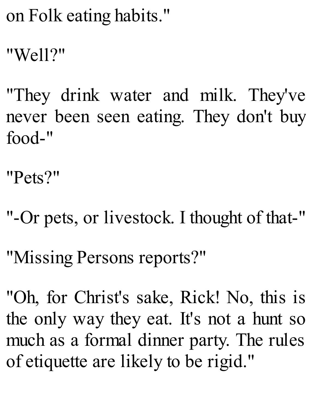on Folk eating habits."

"Well?"

"They drink water and milk. They've never been seen eating. They don't buy food-"

"Pets?"

- "-Or pets, or livestock. I thought of that-"
- "Missing Persons reports?"
- "Oh, for Christ's sake, Rick! No, this is the only way they eat. It's not a hunt so much as a formal dinner party. The rules of etiquette are likely to be rigid."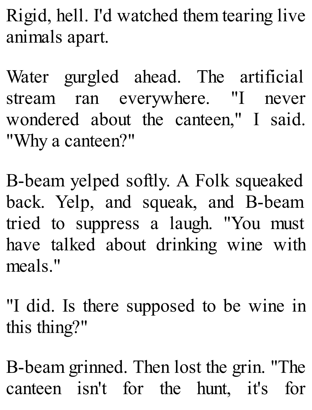Rigid, hell. I'd watched them tearing live animals apart.

Water gurgled ahead. The artificial stream ran everywhere. "I never wondered about the canteen," I said. "Why a canteen?"

B-beam yelped softly. A Folk squeaked back. Yelp, and squeak, and B-beam tried to suppress a laugh. "You must have talked about drinking wine with meals."

"I did. Is there supposed to be wine in this thing?"

B-beam grinned. Then lost the grin. "The canteen isn't for the hunt, it's for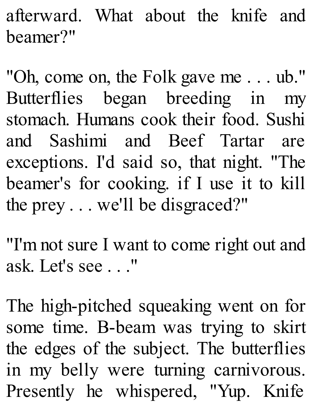afterward. What about the knife and beamer?"

"Oh, come on, the Folk gave me . . . ub." Butterflies began breeding in my stomach. Humans cook their food. Sushi and Sashimi and Beef Tartar are exceptions. I'd said so, that night. "The beamer's for cooking. if I use it to kill the prey . . . we'll be disgraced?"

"I'm not sure I want to come right out and ask. Let's see . . ."

The high-pitched squeaking went on for some time. B-beam was trying to skirt the edges of the subject. The butterflies in my belly were turning carnivorous. Presently he whispered, "Yup. Knife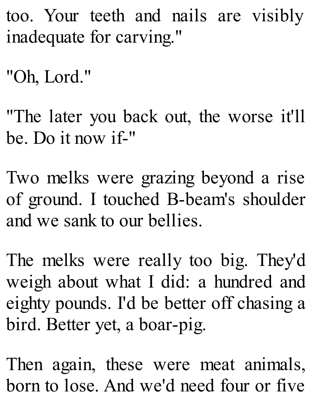- too. Your teeth and nails are visibly inadequate for carving."
- "Oh, Lord."
- "The later you back out, the worse it'll be. Do it now if-"
- Two melks were grazing beyond a rise of ground. I touched B-beam's shoulder and we sank to our bellies.
- The melks were really too big. They'd weigh about what I did: a hundred and eighty pounds. I'd be better off chasing a bird. Better yet, a boar-pig.
- Then again, these were meat animals, born to lose. And we'd need four or five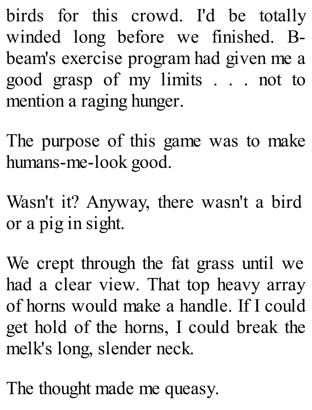birds for this crowd. I'd be totally winded long before we finished. Bbeam's exercise program had given me a good grasp of my limits . . . not to mention a raging hunger.

The purpose of this game was to make humans-me-look good.

Wasn't it? Anyway, there wasn't a bird or a pig in sight.

We crept through the fat grass until we had a clear view. That top heavy array of horns would make a handle. If I could get hold of the horns, I could break the melk's long, slender neck.

The thought made me queasy.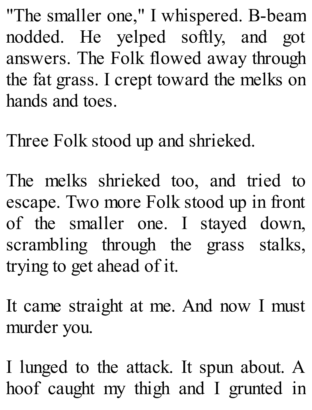"The smaller one," I whispered. B-beam nodded. He yelped softly, and got answers. The Folk flowed away through the fat grass. I crept toward the melks on hands and toes.

Three Folk stood up and shrieked.

The melks shrieked too, and tried to escape. Two more Folk stood up in front of the smaller one. I stayed down, scrambling through the grass stalks, trying to get ahead of it.

It came straight at me. And now I must murder you.

I lunged to the attack. It spun about. A hoof caught my thigh and I grunted in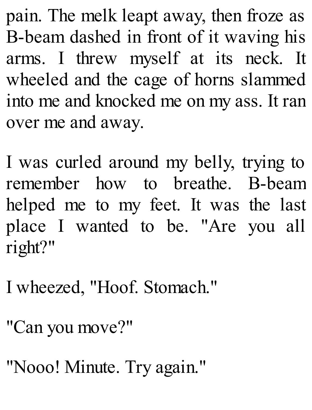pain. The melk leapt away, then froze as B-beam dashed in front of it waving his arms. I threw myself at its neck. It wheeled and the cage of horns slammed into me and knocked me on my ass. It ran over me and away.

I was curled around my belly, trying to remember how to breathe. B-beam helped me to my feet. It was the last place I wanted to be. "Are you all right?"

I wheezed, "Hoof. Stomach."

"Can you move?"

"Nooo! Minute. Try again."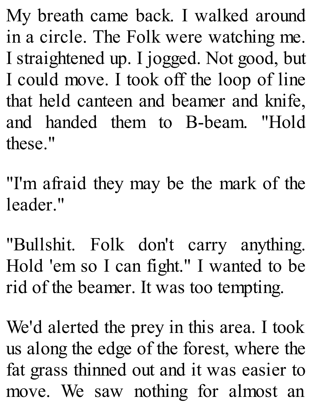My breath came back. I walked around in a circle. The Folk were watching me. I straightened up. I jogged. Not good, but I could move. I took off the loop of line that held canteen and beamer and knife, and handed them to B-beam. "Hold these."

"I'm afraid they may be the mark of the leader."

"Bullshit. Folk don't carry anything. Hold 'em so I can fight." I wanted to be rid of the beamer. It was too tempting.

We'd alerted the prey in this area. I took us along the edge of the forest, where the fat grass thinned out and it was easier to move. We saw nothing for almost an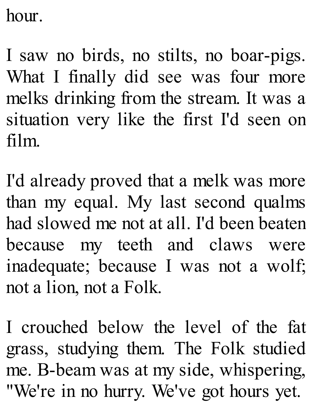hour.

I saw no birds, no stilts, no boar-pigs. What I finally did see was four more melks drinking from the stream. It was a situation very like the first I'd seen on film.

I'd already proved that a melk was more than my equal. My last second qualms had slowed me not at all. I'd been beaten because my teeth and claws were inadequate; because I was not a wolf; not a lion, not a Folk.

I crouched below the level of the fat grass, studying them. The Folk studied me. B-beam was at my side, whispering, "We're in no hurry. We've got hours yet.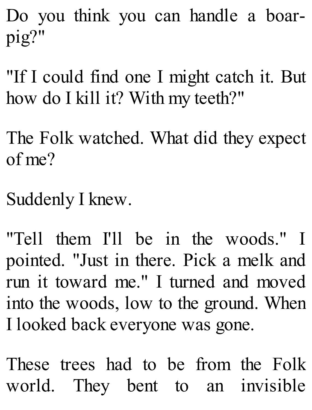Do you think you can handle a boarpig?"

"If I could find one I might catch it. But how do I kill it? With my teeth?"

The Folk watched. What did they expect of me?

Suddenly I knew.

"Tell them I'll be in the woods." I pointed. "Just in there. Pick a melk and run it toward me." I turned and moved into the woods, low to the ground. When I looked back everyone was gone.

These trees had to be from the Folk world. They bent to an invisible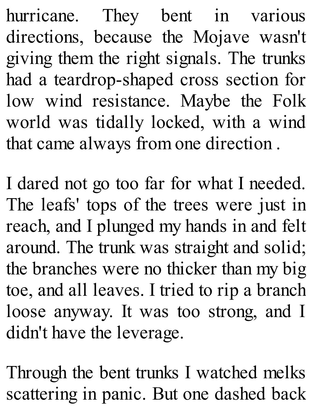hurricane. They bent in various directions, because the Mojave wasn't giving them the right signals. The trunks had a teardrop-shaped cross section for low wind resistance. Maybe the Folk world was tidally locked, with a wind that came always from one direction .

I dared not go too far for what I needed. The leafs' tops of the trees were just in reach, and I plunged my hands in and felt around. The trunk was straight and solid; the branches were no thicker than my big toe, and all leaves. I tried to rip a branch loose anyway. It was too strong, and I didn't have the leverage.

Through the bent trunks I watched melks scattering in panic. But one dashed back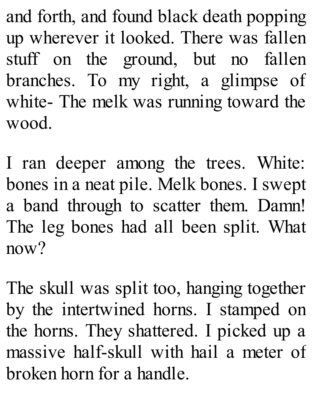and forth, and found black death popping up wherever it looked. There was fallen stuff on the ground, but no fallen branches. To my right, a glimpse of white- The melk was running toward the wood.

I ran deeper among the trees. White: bones in a neat pile. Melk bones. I swept a band through to scatter them. Damn! The leg bones had all been split. What now?

The skull was split too, hanging together by the intertwined horns. I stamped on the horns. They shattered. I picked up a massive half-skull with hail a meter of broken horn for a handle.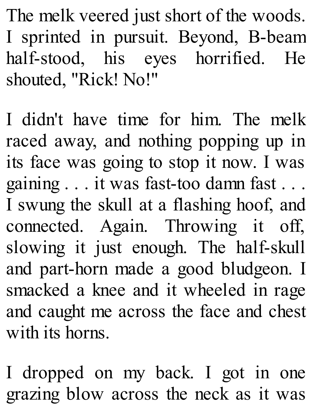The melk veered just short of the woods. I sprinted in pursuit. Beyond, B-beam half-stood, his eyes horrified. He shouted, "Rick! No!"

I didn't have time for him. The melk raced away, and nothing popping up in its face was going to stop it now. I was gaining . . . it was fast-too damn fast . . . I swung the skull at a flashing hoof, and connected. Again. Throwing it off, slowing it just enough. The half-skull and part-horn made a good bludgeon. I smacked a knee and it wheeled in rage and caught me across the face and chest with its horns.

I dropped on my back. I got in one grazing blow across the neck as it was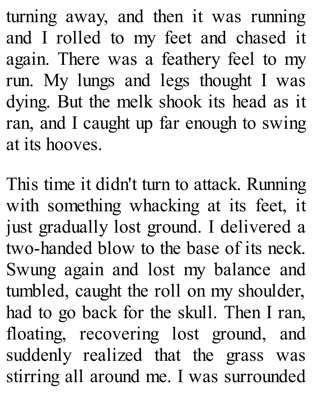turning away, and then it was running and I rolled to my feet and chased it again. There was a feathery feel to my run. My lungs and legs thought I was dying. But the melk shook its head as it ran, and I caught up far enough to swing at its hooves.

This time it didn't turn to attack. Running with something whacking at its feet, it just gradually lost ground. I delivered a two-handed blow to the base of its neck. Swung again and lost my balance and tumbled, caught the roll on my shoulder, had to go back for the skull. Then I ran, floating, recovering lost ground, and suddenly realized that the grass was stirring all around me. I was surrounded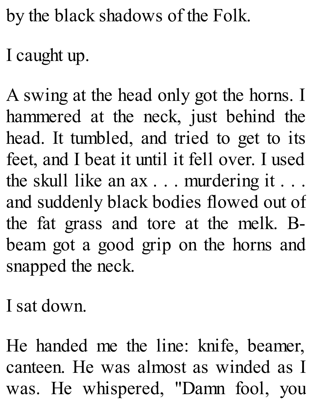by the black shadows of the Folk.

I caught up.

A swing at the head only got the horns. I hammered at the neck, just behind the head. It tumbled, and tried to get to its feet, and I beat it until it fell over. I used the skull like an ax . . . murdering it . . . and suddenly black bodies flowed out of the fat grass and tore at the melk. Bbeam got a good grip on the horns and snapped the neck.

I sat down.

He handed me the line: knife, beamer, canteen. He was almost as winded as I was. He whispered, "Damn fool, you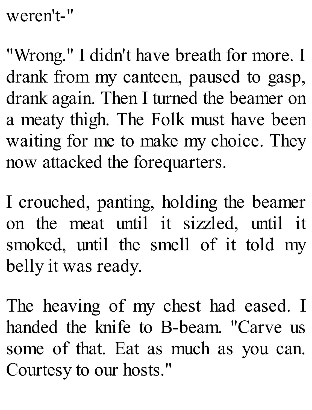weren't-"

"Wrong." I didn't have breath for more. I drank from my canteen, paused to gasp, drank again. Then I turned the beamer on a meaty thigh. The Folk must have been waiting for me to make my choice. They now attacked the forequarters.

I crouched, panting, holding the beamer on the meat until it sizzled, until it smoked, until the smell of it told my belly it was ready.

The heaving of my chest had eased. I handed the knife to B-beam. "Carve us some of that. Eat as much as you can. Courtesy to our hosts."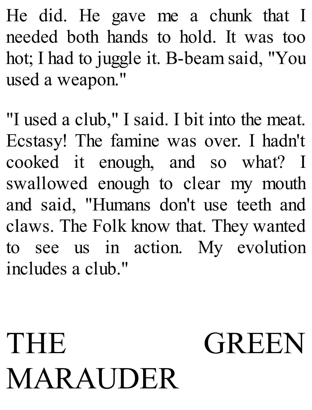He did. He gave me a chunk that I needed both hands to hold. It was too hot; I had to juggle it. B-beam said, "You used a weapon."

"I used a club," I said. I bit into the meat. Ecstasy! The famine was over. I hadn't cooked it enough, and so what? I swallowed enough to clear my mouth and said, "Humans don't use teeth and claws. The Folk know that. They wanted to see us in action. My evolution includes a club."

## THE GREEN MARAUDER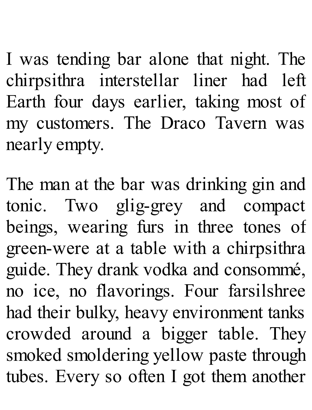I was tending bar alone that night. The chirpsithra interstellar liner had left Earth four days earlier, taking most of my customers. The Draco Tavern was nearly empty.

The man at the bar was drinking gin and tonic. Two glig-grey and compact beings, wearing furs in three tones of green-were at a table with a chirpsithra guide. They drank vodka and consommé, no ice, no flavorings. Four farsilshree had their bulky, heavy environment tanks crowded around a bigger table. They smoked smoldering yellow paste through tubes. Every so often I got them another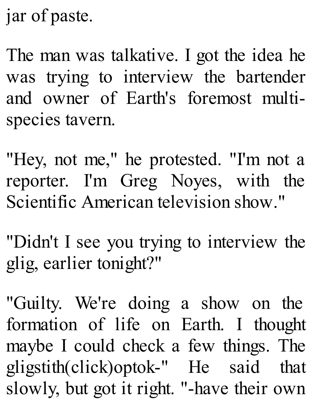jar of paste.

The man was talkative. I got the idea he was trying to interview the bartender and owner of Earth's foremost multispecies tavern.

"Hey, not me," he protested. "I'm not a reporter. I'm Greg Noyes, with the Scientific American television show."

"Didn't I see you trying to interview the glig, earlier tonight?"

"Guilty. We're doing a show on the formation of life on Earth. I thought maybe I could check a few things. The gligstith(click)optok-" He said that slowly, but got it right. "-have their own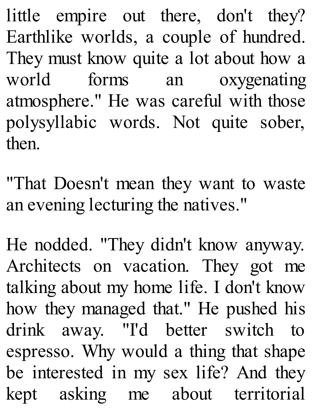little empire out there, don't they? Earthlike worlds, a couple of hundred. They must know quite a lot about how a world forms an oxygenating atmosphere." He was careful with those polysyllabic words. Not quite sober, then.

"That Doesn't mean they want to waste an evening lecturing the natives."

He nodded. "They didn't know anyway. Architects on vacation. They got me talking about my home life. I don't know how they managed that." He pushed his drink away. "I'd better switch to espresso. Why would a thing that shape be interested in my sex life? And they kept asking me about territorial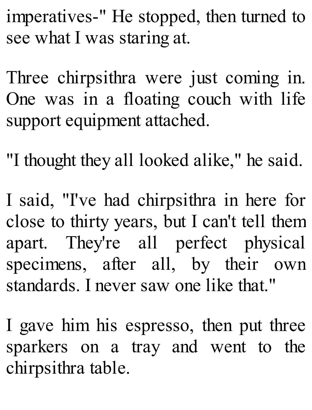imperatives-" He stopped, then turned to see what I was staring at.

Three chirpsithra were just coming in. One was in a floating couch with life support equipment attached.

"I thought they all looked alike," he said.

I said, "I've had chirpsithra in here for close to thirty years, but I can't tell them apart. They're all perfect physical specimens, after all, by their own standards. I never saw one like that."

I gave him his espresso, then put three sparkers on a tray and went to the chirpsithra table.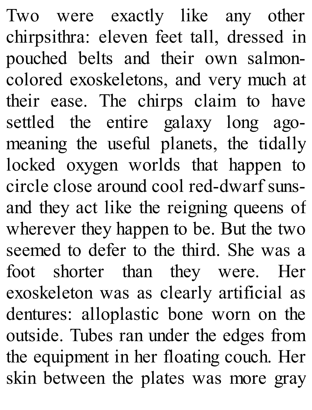Two were exactly like any other chirpsithra: eleven feet tall, dressed in pouched belts and their own salmoncolored exoskeletons, and very much at their ease. The chirps claim to have settled the entire galaxy long agomeaning the useful planets, the tidally locked oxygen worlds that happen to circle close around cool red-dwarf sunsand they act like the reigning queens of wherever they happen to be. But the two seemed to defer to the third. She was a foot shorter than they were. Her exoskeleton was as clearly artificial as dentures: alloplastic bone worn on the outside. Tubes ran under the edges from the equipment in her floating couch. Her skin between the plates was more gray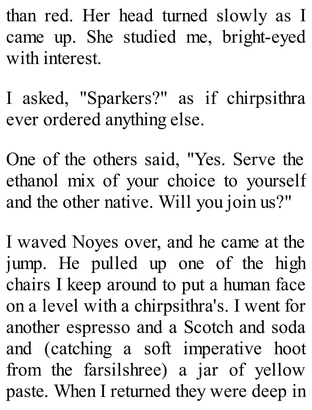than red. Her head turned slowly as I came up. She studied me, bright-eyed with interest.

I asked, "Sparkers?" as if chirpsithra ever ordered anything else.

One of the others said, "Yes. Serve the ethanol mix of your choice to yourself and the other native. Will you join us?"

I waved Noyes over, and he came at the jump. He pulled up one of the high chairs I keep around to put a human face on a level with a chirpsithra's. I went for another espresso and a Scotch and soda and (catching a soft imperative hoot from the farsilshree) a jar of yellow paste. When I returned they were deep in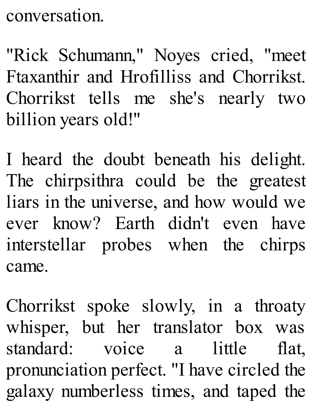conversation.

"Rick Schumann," Noyes cried, "meet Ftaxanthir and Hrofilliss and Chorrikst. Chorrikst tells me she's nearly two billion years old!"

I heard the doubt beneath his delight. The chirpsithra could be the greatest liars in the universe, and how would we ever know? Earth didn't even have interstellar probes when the chirps came.

Chorrikst spoke slowly, in a throaty whisper, but her translator box was standard: voice a little flat, pronunciation perfect. "I have circled the galaxy numberless times, and taped the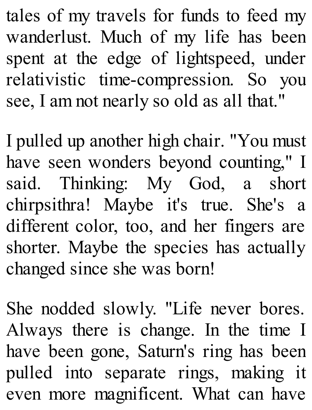tales of my travels for funds to feed my wanderlust. Much of my life has been spent at the edge of lightspeed, under relativistic time-compression. So you see, I am not nearly so old as all that."

I pulled up another high chair. "You must have seen wonders beyond counting," I said. Thinking: My God, a short chirpsithra! Maybe it's true. She's a different color, too, and her fingers are shorter. Maybe the species has actually changed since she was born!

She nodded slowly. "Life never bores. Always there is change. In the time I have been gone, Saturn's ring has been pulled into separate rings, making it even more magnificent. What can have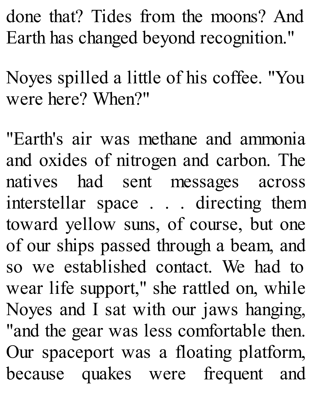done that? Tides from the moons? And Earth has changed beyond recognition."

Noyes spilled a little of his coffee. "You were here? When?"

"Earth's air was methane and ammonia and oxides of nitrogen and carbon. The natives had sent messages across interstellar space . . . directing them toward yellow suns, of course, but one of our ships passed through a beam, and so we established contact. We had to wear life support," she rattled on, while Noyes and I sat with our jaws hanging, "and the gear was less comfortable then. Our spaceport was a floating platform, because quakes were frequent and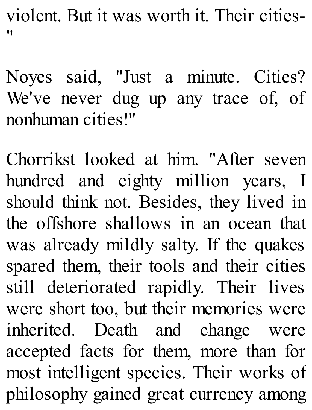violent. But it was worth it. Their cities- "

Noyes said, "Just a minute. Cities? We've never dug up any trace of, of nonhuman cities!"

Chorrikst looked at him. "After seven hundred and eighty million years, I should think not. Besides, they lived in the offshore shallows in an ocean that was already mildly salty. If the quakes spared them, their tools and their cities still deteriorated rapidly. Their lives were short too, but their memories were inherited. Death and change were accepted facts for them, more than for most intelligent species. Their works of philosophy gained great currency among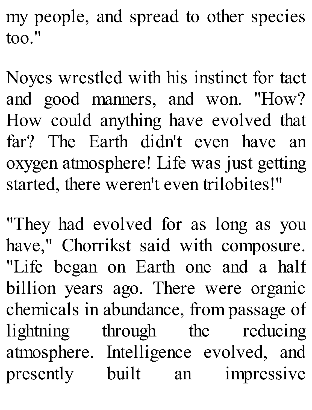my people, and spread to other species too."

Noyes wrestled with his instinct for tact and good manners, and won. "How? How could anything have evolved that far? The Earth didn't even have an oxygen atmosphere! Life was just getting started, there weren't even trilobites!"

"They had evolved for as long as you have," Chorrikst said with composure. "Life began on Earth one and a half billion years ago. There were organic chemicals in abundance, from passage of lightning through the reducing atmosphere. Intelligence evolved, and presently built an impressive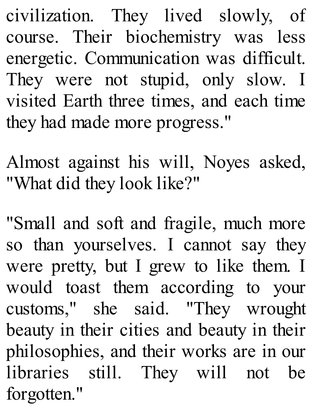civilization. They lived slowly, of course. Their biochemistry was less energetic. Communication was difficult. They were not stupid, only slow. I visited Earth three times, and each time they had made more progress."

Almost against his will, Noyes asked, "What did they look like?"

"Small and soft and fragile, much more so than yourselves. I cannot say they were pretty, but I grew to like them. I would toast them according to your customs," she said. "They wrought beauty in their cities and beauty in their philosophies, and their works are in our libraries still. They will not be forgotten."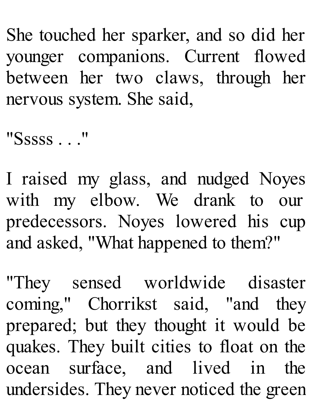She touched her sparker, and so did her younger companions. Current flowed between her two claws, through her nervous system. She said,

"Sssss . . ."

I raised my glass, and nudged Noyes with my elbow. We drank to our predecessors. Noyes lowered his cup and asked, "What happened to them?"

"They sensed worldwide disaster coming," Chorrikst said, "and they prepared; but they thought it would be quakes. They built cities to float on the ocean surface, and lived in the undersides. They never noticed the green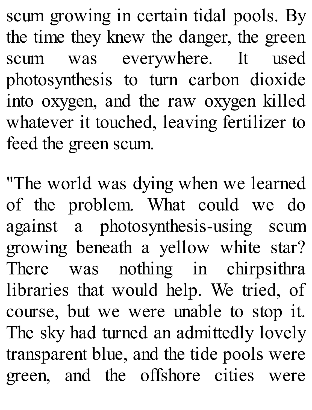scum growing in certain tidal pools. By the time they knew the danger, the green scum was everywhere. It used photosynthesis to turn carbon dioxide into oxygen, and the raw oxygen killed whatever it touched, leaving fertilizer to feed the green scum.

"The world was dying when we learned of the problem. What could we do against a photosynthesis-using scum growing beneath a yellow white star? There was nothing in chirpsithra libraries that would help. We tried, of course, but we were unable to stop it. The sky had turned an admittedly lovely transparent blue, and the tide pools were green, and the offshore cities were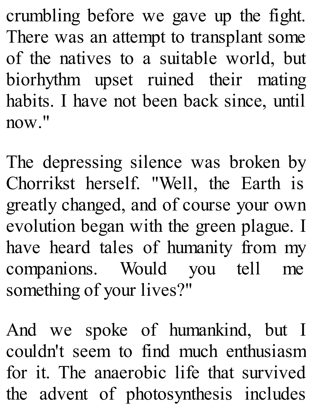crumbling before we gave up the fight. There was an attempt to transplant some of the natives to a suitable world, but biorhythm upset ruined their mating habits. I have not been back since, until now."

The depressing silence was broken by Chorrikst herself. "Well, the Earth is greatly changed, and of course your own evolution began with the green plague. I have heard tales of humanity from my companions. Would you tell me something of your lives?"

And we spoke of humankind, but I couldn't seem to find much enthusiasm for it. The anaerobic life that survived the advent of photosynthesis includes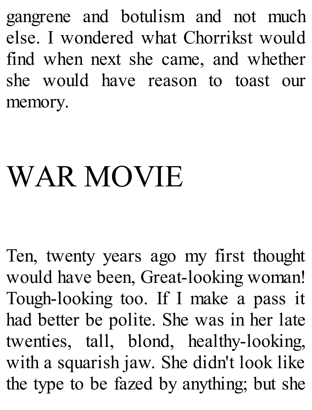gangrene and botulism and not much else. I wondered what Chorrikst would find when next she came, and whether she would have reason to toast our memory.

## WAR MOVIE

Ten, twenty years ago my first thought would have been, Great-looking woman! Tough-looking too. If I make a pass it had better be polite. She was in her late twenties, tall, blond, healthy-looking, with a squarish jaw. She didn't look like the type to be fazed by anything; but she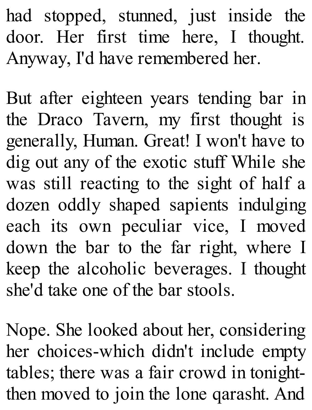had stopped, stunned, just inside the door. Her first time here, I thought. Anyway, I'd have remembered her.

But after eighteen years tending bar in the Draco Tavern, my first thought is generally, Human. Great! I won't have to dig out any of the exotic stuff While she was still reacting to the sight of half a dozen oddly shaped sapients indulging each its own peculiar vice, I moved down the bar to the far right, where I keep the alcoholic beverages. I thought she'd take one of the bar stools.

Nope. She looked about her, considering her choices-which didn't include empty tables; there was a fair crowd in tonightthen moved to join the lone qarasht. And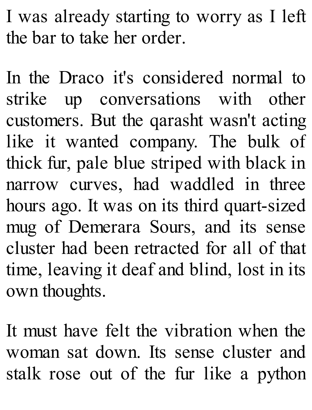I was already starting to worry as I left the bar to take her order.

In the Draco it's considered normal to strike up conversations with other customers. But the qarasht wasn't acting like it wanted company. The bulk of thick fur, pale blue striped with black in narrow curves, had waddled in three hours ago. It was on its third quart-sized mug of Demerara Sours, and its sense cluster had been retracted for all of that time, leaving it deaf and blind, lost in its own thoughts.

It must have felt the vibration when the woman sat down. Its sense cluster and stalk rose out of the fur like a python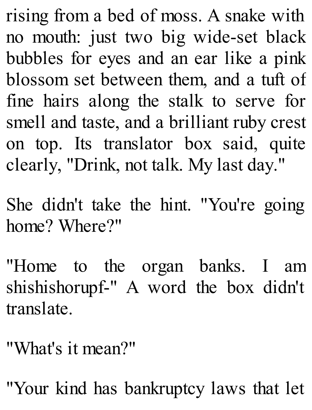rising from a bed of moss. A snake with no mouth: just two big wide-set black bubbles for eyes and an ear like a pink blossom set between them, and a tuft of fine hairs along the stalk to serve for smell and taste, and a brilliant ruby crest on top. Its translator box said, quite clearly, "Drink, not talk. My last day."

She didn't take the hint. "You're going home? Where?"

"Home to the organ banks. I am shishishorupf-" A word the box didn't translate.

"What's it mean?"

"Your kind has bankruptcy laws that let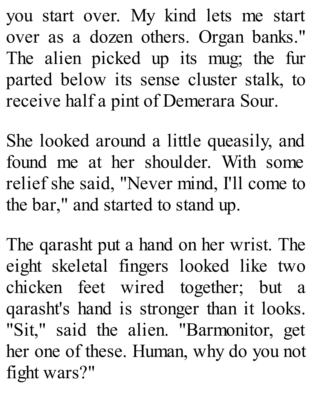you start over. My kind lets me start over as a dozen others. Organ banks." The alien picked up its mug; the fur parted below its sense cluster stalk, to receive half a pint of Demerara Sour.

She looked around a little queasily, and found me at her shoulder. With some relief she said, "Never mind, I'll come to the bar," and started to stand up.

The qarasht put a hand on her wrist. The eight skeletal fingers looked like two chicken feet wired together; but a qarasht's hand is stronger than it looks. "Sit," said the alien. "Barmonitor, get her one of these. Human, why do you not fight wars?"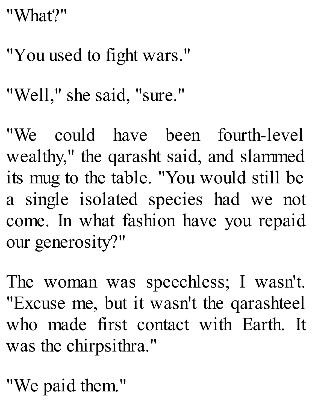## "What?"

"You used to fight wars."

"Well," she said, "sure."

"We could have been fourth-level wealthy," the qarasht said, and slammed its mug to the table. "You would still be a single isolated species had we not come. In what fashion have you repaid our generosity?"

The woman was speechless; I wasn't. "Excuse me, but it wasn't the qarashteel who made first contact with Earth. It was the chirpsithra."

"We paid them."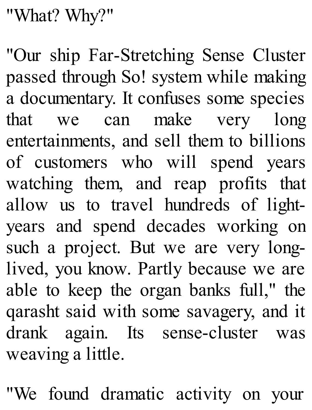"What? Why?"

"Our ship Far-Stretching Sense Cluster passed through So! system while making a documentary. It confuses some species that we can make very long entertainments, and sell them to billions of customers who will spend years watching them, and reap profits that allow us to travel hundreds of lightyears and spend decades working on such a project. But we are very longlived, you know. Partly because we are able to keep the organ banks full," the qarasht said with some savagery, and it drank again. Its sense-cluster was weaving a little.

"We found dramatic activity on your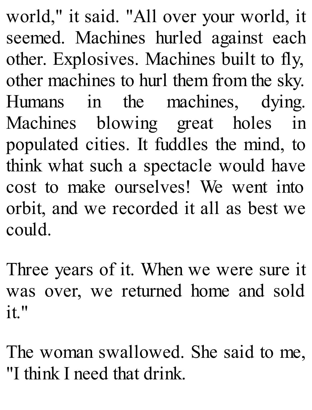world," it said. "All over your world, it seemed. Machines hurled against each other. Explosives. Machines built to fly, other machines to hurl them from the sky. Humans in the machines, dying. Machines blowing great holes in populated cities. It fuddles the mind, to think what such a spectacle would have cost to make ourselves! We went into orbit, and we recorded it all as best we could.

Three years of it. When we were sure it was over, we returned home and sold it."

The woman swallowed. She said to me, "I think I need that drink.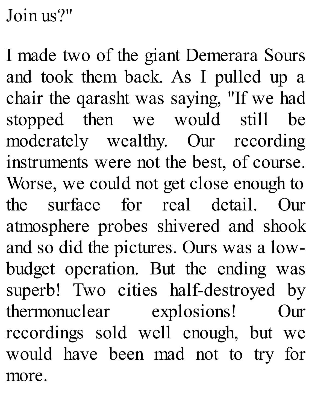Join us?"

I made two of the giant Demerara Sours and took them back. As I pulled up a chair the qarasht was saying, "If we had stopped then we would still be moderately wealthy. Our recording instruments were not the best, of course. Worse, we could not get close enough to the surface for real detail. Our atmosphere probes shivered and shook and so did the pictures. Ours was a lowbudget operation. But the ending was superb! Two cities half-destroyed by thermonuclear explosions! Our recordings sold well enough, but we would have been mad not to try for more.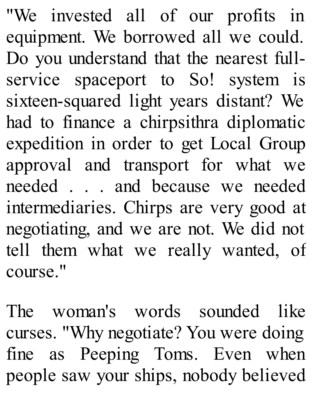"We invested all of our profits in equipment. We borrowed all we could. Do you understand that the nearest fullservice spaceport to So! system is sixteen-squared light years distant? We had to finance a chirpsithra diplomatic expedition in order to get Local Group approval and transport for what we needed . . . and because we needed intermediaries. Chirps are very good at negotiating, and we are not. We did not tell them what we really wanted, of course."

The woman's words sounded like curses. "Why negotiate? You were doing fine as Peeping Toms. Even when people saw your ships, nobody believed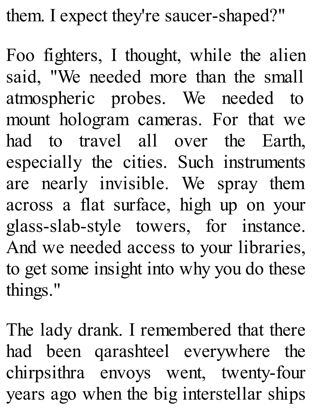them. I expect they're saucer-shaped?"

Foo fighters, I thought, while the alien said, "We needed more than the small atmospheric probes. We needed to mount hologram cameras. For that we had to travel all over the Earth, especially the cities. Such instruments are nearly invisible. We spray them across a flat surface, high up on your glass-slab-style towers, for instance. And we needed access to your libraries, to get some insight into why you do these things."

The lady drank. I remembered that there had been qarashteel everywhere the chirpsithra envoys went, twenty-four years ago when the big interstellar ships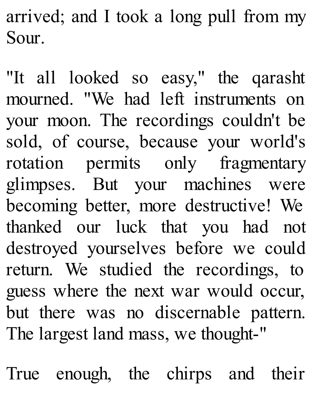arrived; and I took a long pull from my Sour.

"It all looked so easy," the qarasht mourned. "We had left instruments on your moon. The recordings couldn't be sold, of course, because your world's rotation permits only fragmentary glimpses. But your machines were becoming better, more destructive! We thanked our luck that you had not destroyed yourselves before we could return. We studied the recordings, to guess where the next war would occur, but there was no discernable pattern. The largest land mass, we thought-"

True enough, the chirps and their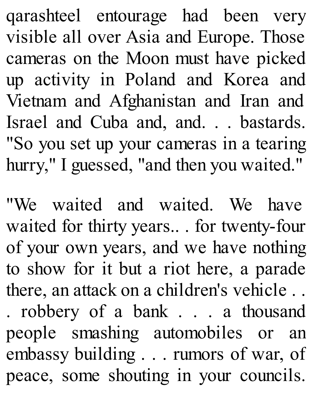qarashteel entourage had been very visible all over Asia and Europe. Those cameras on the Moon must have picked up activity in Poland and Korea and Vietnam and Afghanistan and Iran and Israel and Cuba and, and. . . bastards. "So you set up your cameras in a tearing hurry," I guessed, "and then you waited."

"We waited and waited. We have waited for thirty years.. . for twenty-four of your own years, and we have nothing to show for it but a riot here, a parade there, an attack on a children's vehicle . . . robbery of a bank . . . a thousand people smashing automobiles or an embassy building . . . rumors of war, of peace, some shouting in your councils.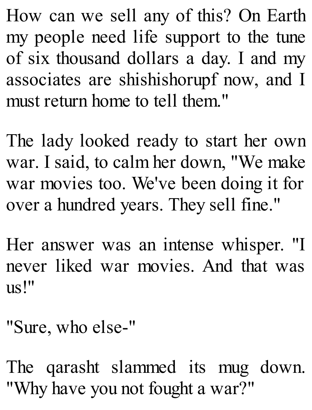How can we sell any of this? On Earth my people need life support to the tune of six thousand dollars a day. I and my associates are shishishorupf now, and I must return home to tell them."

The lady looked ready to start her own war. I said, to calm her down, "We make war movies too. We've been doing it for over a hundred years. They sell fine."

Her answer was an intense whisper. "I never liked war movies. And that was us!"

"Sure, who else-"

The qarasht slammed its mug down. "Why have you not fought a war?"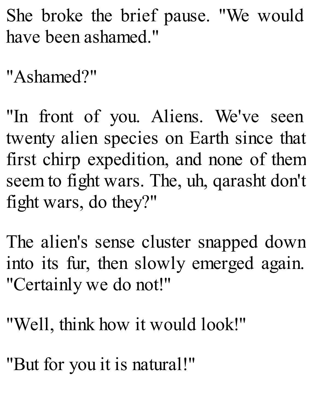She broke the brief pause. "We would have been ashamed."

"Ashamed?"

"In front of you. Aliens. We've seen twenty alien species on Earth since that first chirp expedition, and none of them seem to fight wars. The, uh, qarasht don't fight wars, do they?"

The alien's sense cluster snapped down into its fur, then slowly emerged again. "Certainly we do not!"

"Well, think how it would look!"

"But for you it is natural!"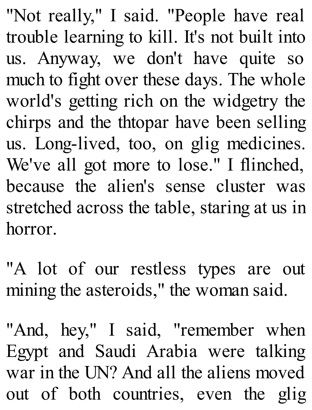"Not really," I said. "People have real trouble learning to kill. It's not built into us. Anyway, we don't have quite so much to fight over these days. The whole world's getting rich on the widgetry the chirps and the thtopar have been selling us. Long-lived, too, on glig medicines. We've all got more to lose." I flinched, because the alien's sense cluster was stretched across the table, staring at us in horror.

"A lot of our restless types are out mining the asteroids," the woman said.

"And, hey," I said, "remember when Egypt and Saudi Arabia were talking war in the UN? And all the aliens moved out of both countries, even the glig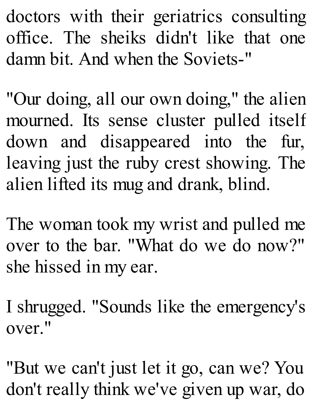doctors with their geriatrics consulting office. The sheiks didn't like that one damn bit. And when the Soviets-"

"Our doing, all our own doing," the alien mourned. Its sense cluster pulled itself down and disappeared into the fur, leaving just the ruby crest showing. The alien lifted its mug and drank, blind.

The woman took my wrist and pulled me over to the bar. "What do we do now?" she hissed in my ear.

I shrugged. "Sounds like the emergency's over."

"But we can't just let it go, can we? You don't really think we've given up war, do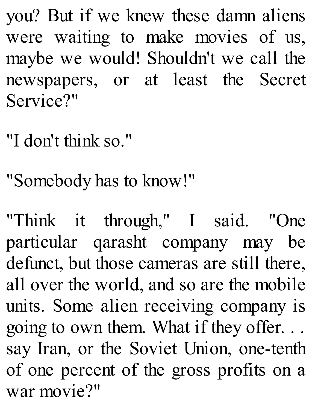you? But if we knew these damn aliens were waiting to make movies of us, maybe we would! Shouldn't we call the newspapers, or at least the Secret Service?"

"I don't think so."

"Somebody has to know!"

"Think it through," I said. "One particular qarasht company may be defunct, but those cameras are still there, all over the world, and so are the mobile units. Some alien receiving company is going to own them. What if they offer. . . say Iran, or the Soviet Union, one-tenth of one percent of the gross profits on a war movie?"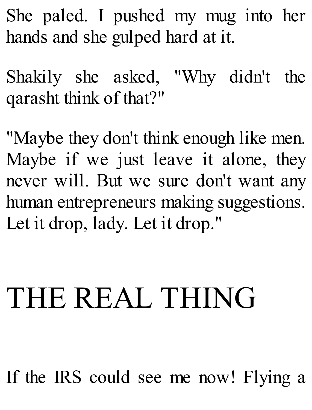She paled. I pushed my mug into her hands and she gulped hard at it.

Shakily she asked, "Why didn't the qarasht think of that?"

"Maybe they don't think enough like men. Maybe if we just leave it alone, they never will. But we sure don't want any human entrepreneurs making suggestions. Let it drop, lady. Let it drop."

## THE REAL THING

If the IRS could see me now! Flying a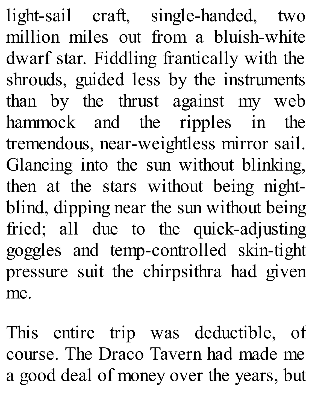light-sail craft, single-handed, two million miles out from a bluish-white dwarf star. Fiddling frantically with the shrouds, guided less by the instruments than by the thrust against my web hammock and the ripples in the tremendous, near-weightless mirror sail. Glancing into the sun without blinking, then at the stars without being nightblind, dipping near the sun without being fried; all due to the quick-adjusting goggles and temp-controlled skin-tight pressure suit the chirpsithra had given me.

This entire trip was deductible, of course. The Draco Tavern had made me a good deal of money over the years, but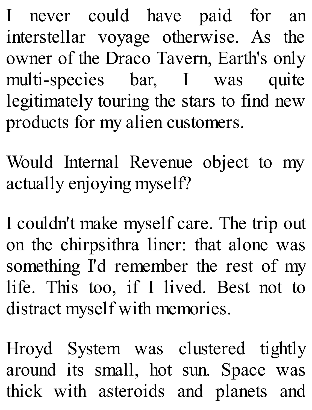I never could have paid for an interstellar voyage otherwise. As the owner of the Draco Tavern, Earth's only multi-species bar, I was quite legitimately touring the stars to find new products for my alien customers.

Would Internal Revenue object to my actually enjoying myself?

I couldn't make myself care. The trip out on the chirpsithra liner: that alone was something I'd remember the rest of my life. This too, if I lived. Best not to distract myself with memories.

Hroyd System was clustered tightly around its small, hot sun. Space was thick with asteroids and planets and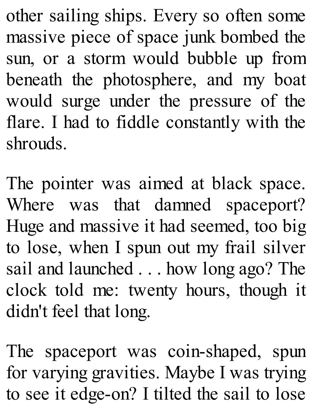other sailing ships. Every so often some massive piece of space junk bombed the sun, or a storm would bubble up from beneath the photosphere, and my boat would surge under the pressure of the flare. I had to fiddle constantly with the shrouds.

The pointer was aimed at black space. Where was that damned spaceport? Huge and massive it had seemed, too big to lose, when I spun out my frail silver sail and launched . . . how long ago? The clock told me: twenty hours, though it didn't feel that long.

The spaceport was coin-shaped, spun for varying gravities. Maybe I was trying to see it edge-on? I tilted the sail to lose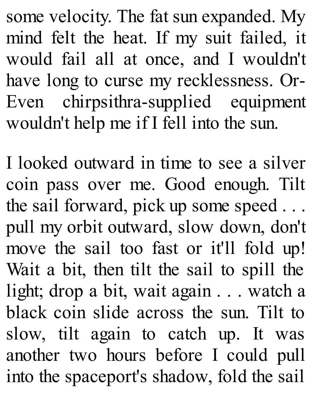some velocity. The fat sun expanded. My mind felt the heat. If my suit failed, it would fail all at once, and I wouldn't have long to curse my recklessness. Or-Even chirpsithra-supplied equipment wouldn't help me if I fell into the sun.

I looked outward in time to see a silver coin pass over me. Good enough. Tilt the sail forward, pick up some speed . . . pull my orbit outward, slow down, don't move the sail too fast or it'll fold up! Wait a bit, then tilt the sail to spill the light; drop a bit, wait again . . . watch a black coin slide across the sun. Tilt to slow, tilt again to catch up. It was another two hours before I could pull into the spaceport's shadow, fold the sail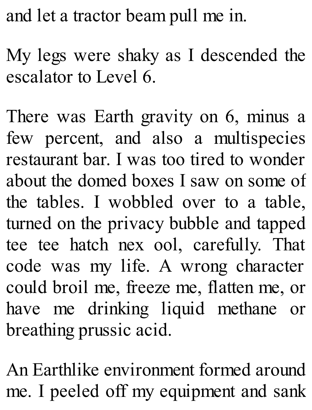and let a tractor beam pull me in.

My legs were shaky as I descended the escalator to Level 6.

There was Earth gravity on 6, minus a few percent, and also a multispecies restaurant bar. I was too tired to wonder about the domed boxes I saw on some of the tables. I wobbled over to a table, turned on the privacy bubble and tapped tee tee hatch nex ool, carefully. That code was my life. A wrong character could broil me, freeze me, flatten me, or have me drinking liquid methane or breathing prussic acid.

An Earthlike environment formed around me. I peeled off my equipment and sank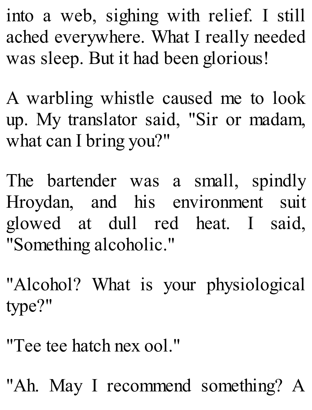into a web, sighing with relief. I still ached everywhere. What I really needed was sleep. But it had been glorious!

A warbling whistle caused me to look up. My translator said, "Sir or madam, what can I bring you?"

The bartender was a small, spindly Hroydan, and his environment suit glowed at dull red heat. I said, "Something alcoholic."

"Alcohol? What is your physiological type?"

"Tee tee hatch nex ool."

"Ah. May I recommend something? A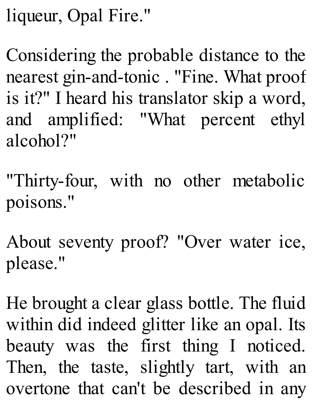liqueur, Opal Fire."

Considering the probable distance to the nearest gin-and-tonic . "Fine. What proof is it?" I heard his translator skip a word, and amplified: "What percent ethyl alcohol?"

"Thirty-four, with no other metabolic poisons."

About seventy proof? "Over water ice, please."

He brought a clear glass bottle. The fluid within did indeed glitter like an opal. Its beauty was the first thing I noticed. Then, the taste, slightly tart, with an overtone that can't be described in any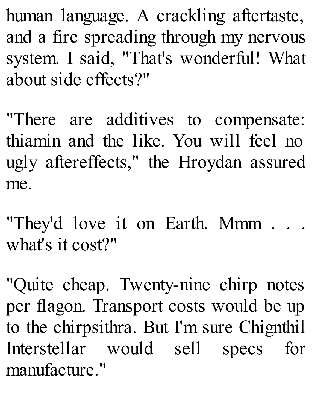human language. A crackling aftertaste, and a fire spreading through my nervous system. I said, "That's wonderful! What about side effects?"

"There are additives to compensate: thiamin and the like. You will feel no ugly aftereffects," the Hroydan assured me.

"They'd love it on Earth. Mmm . . . what's it cost?"

"Quite cheap. Twenty-nine chirp notes per flagon. Transport costs would be up to the chirpsithra. But I'm sure Chignthil Interstellar would sell specs for manufacture."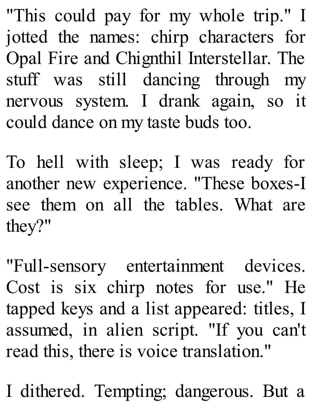"This could pay for my whole trip." I jotted the names: chirp characters for Opal Fire and Chignthil Interstellar. The stuff was still dancing through my nervous system. I drank again, so it could dance on my taste buds too.

To hell with sleep; I was ready for another new experience. "These boxes-I see them on all the tables. What are they?"

"Full-sensory entertainment devices. Cost is six chirp notes for use." He tapped keys and a list appeared: titles, I assumed, in alien script. "If you can't read this, there is voice translation."

I dithered. Tempting; dangerous. But a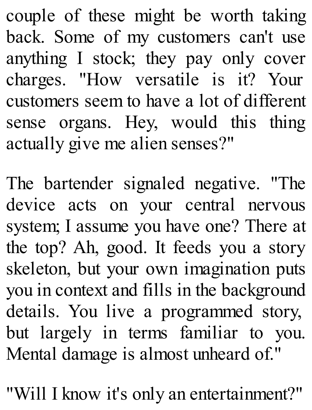couple of these might be worth taking back. Some of my customers can't use anything I stock; they pay only cover charges. "How versatile is it? Your customers seem to have a lot of different sense organs. Hey, would this thing actually give me alien senses?"

The bartender signaled negative. "The device acts on your central nervous system; I assume you have one? There at the top? Ah, good. It feeds you a story skeleton, but your own imagination puts you in context and fills in the background details. You live a programmed story, but largely in terms familiar to you. Mental damage is almost unheard of."

"Will I know it's only an entertainment?"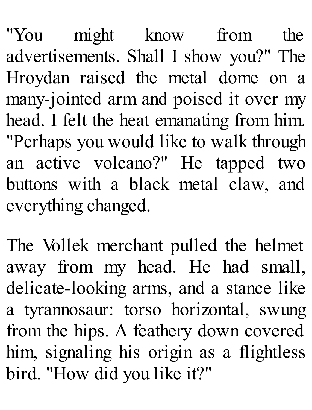"You might know from the advertisements. Shall I show you?" The Hroydan raised the metal dome on a many-jointed arm and poised it over my head. I felt the heat emanating from him. "Perhaps you would like to walk through an active volcano?" He tapped two buttons with a black metal claw, and everything changed.

The Vollek merchant pulled the helmet away from my head. He had small, delicate-looking arms, and a stance like a tyrannosaur: torso horizontal, swung from the hips. A feathery down covered him, signaling his origin as a flightless bird. "How did you like it?"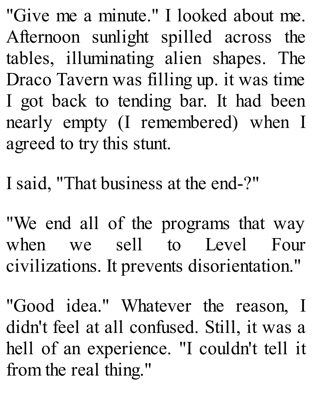"Give me a minute." I looked about me. Afternoon sunlight spilled across the tables, illuminating alien shapes. The Draco Tavern was filling up. it was time I got back to tending bar. It had been nearly empty (I remembered) when I agreed to try this stunt.

I said, "That business at the end-?"

"We end all of the programs that way when we sell to Level Four civilizations. It prevents disorientation."

"Good idea." Whatever the reason, I didn't feel at all confused. Still, it was a hell of an experience. "I couldn't tell it from the real thing."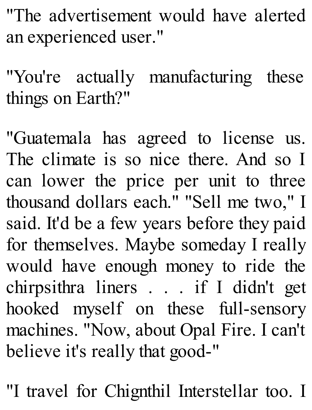"The advertisement would have alerted an experienced user."

"You're actually manufacturing these things on Earth?"

"Guatemala has agreed to license us. The climate is so nice there. And so I can lower the price per unit to three thousand dollars each." "Sell me two," I said. It'd be a few years before they paid for themselves. Maybe someday I really would have enough money to ride the chirpsithra liners . . . if I didn't get hooked myself on these full-sensory machines. "Now, about Opal Fire. I can't believe it's really that good-"

"I travel for Chignthil Interstellar too. I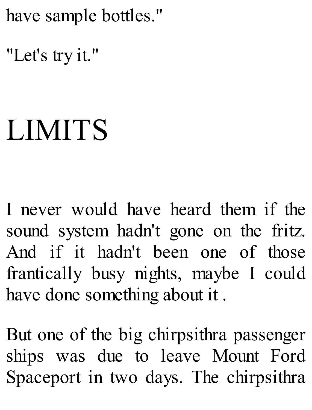have sample bottles."

"Let's try it."

## LIMITS

I never would have heard them if the sound system hadn't gone on the fritz. And if it hadn't been one of those frantically busy nights, maybe I could have done something about it .

But one of the big chirpsithra passenger ships was due to leave Mount Ford Spaceport in two days. The chirpsithra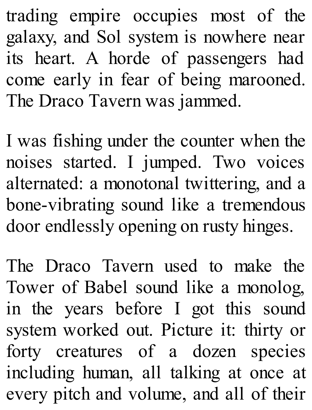trading empire occupies most of the galaxy, and Sol system is nowhere near its heart. A horde of passengers had come early in fear of being marooned. The Draco Tavern was jammed.

I was fishing under the counter when the noises started. I jumped. Two voices alternated: a monotonal twittering, and a bone-vibrating sound like a tremendous door endlessly opening on rusty hinges.

The Draco Tavern used to make the Tower of Babel sound like a monolog, in the years before I got this sound system worked out. Picture it: thirty or forty creatures of a dozen species including human, all talking at once at every pitch and volume, and all of their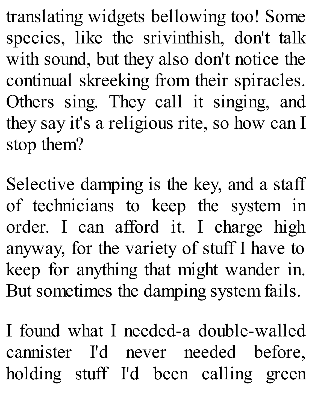translating widgets bellowing too! Some species, like the srivinthish, don't talk with sound, but they also don't notice the continual skreeking from their spiracles. Others sing. They call it singing, and they say it's a religious rite, so how can I stop them?

Selective damping is the key, and a staff of technicians to keep the system in order. I can afford it. I charge high anyway, for the variety of stuff I have to keep for anything that might wander in. But sometimes the damping system fails.

I found what I needed-a double-walled cannister I'd never needed before, holding stuff I'd been calling green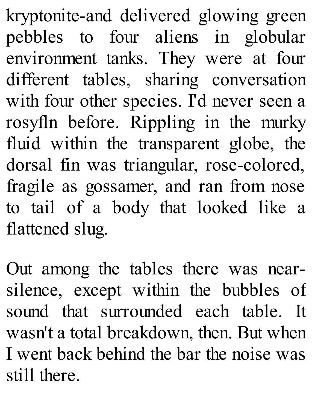kryptonite-and delivered glowing green pebbles to four aliens in globular environment tanks. They were at four different tables, sharing conversation with four other species. I'd never seen a rosyfln before. Rippling in the murky fluid within the transparent globe, the dorsal fin was triangular, rose-colored, fragile as gossamer, and ran from nose to tail of a body that looked like a flattened slug.

Out among the tables there was nearsilence, except within the bubbles of sound that surrounded each table. It wasn't a total breakdown, then. But when I went back behind the bar the noise was still there.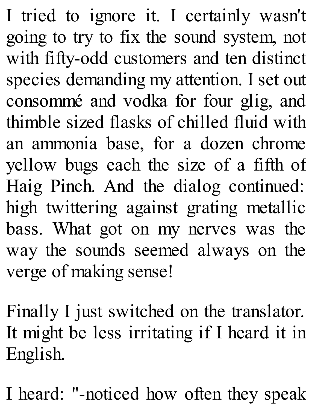I tried to ignore it. I certainly wasn't going to try to fix the sound system, not with fifty-odd customers and ten distinct species demanding my attention. I set out consommé and vodka for four glig, and thimble sized flasks of chilled fluid with an ammonia base, for a dozen chrome yellow bugs each the size of a fifth of Haig Pinch. And the dialog continued: high twittering against grating metallic bass. What got on my nerves was the way the sounds seemed always on the verge of making sense!

Finally I just switched on the translator. It might be less irritating if I heard it in English.

I heard: "-noticed how often they speak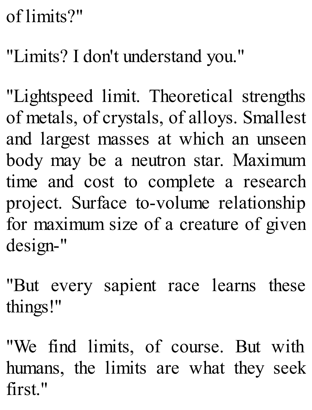## of limits?"

## "Limits? I don't understand you."

"Lightspeed limit. Theoretical strengths of metals, of crystals, of alloys. Smallest and largest masses at which an unseen body may be a neutron star. Maximum time and cost to complete a research project. Surface to-volume relationship for maximum size of a creature of given design-"

"But every sapient race learns these things!"

"We find limits, of course. But with humans, the limits are what they seek first."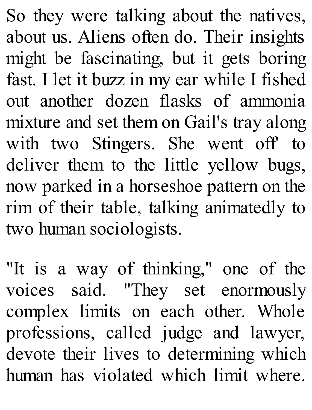So they were talking about the natives, about us. Aliens often do. Their insights might be fascinating, but it gets boring fast. I let it buzz in my ear while I fished out another dozen flasks of ammonia mixture and set them on Gail's tray along with two Stingers. She went off' to deliver them to the little yellow bugs, now parked in a horseshoe pattern on the rim of their table, talking animatedly to two human sociologists.

"It is a way of thinking," one of the voices said. "They set enormously complex limits on each other. Whole professions, called judge and lawyer, devote their lives to determining which human has violated which limit where.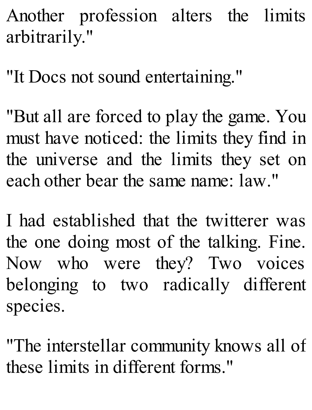Another profession alters the limits arbitrarily."

"It Docs not sound entertaining."

"But all are forced to play the game. You must have noticed: the limits they find in the universe and the limits they set on each other bear the same name: law."

I had established that the twitterer was the one doing most of the talking. Fine. Now who were they? Two voices belonging to two radically different species.

"The interstellar community knows all of these limits in different forms."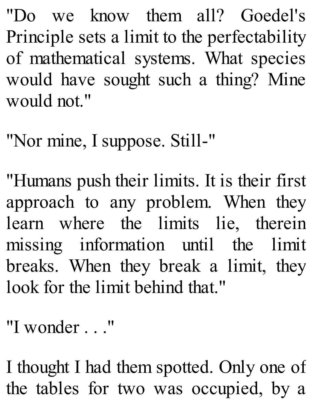"Do we know them all? Goedel's Principle sets a limit to the perfectability of mathematical systems. What species would have sought such a thing? Mine would not."

"Nor mine, I suppose. Still-"

"Humans push their limits. It is their first approach to any problem. When they learn where the limits lie, therein missing information until the limit breaks. When they break a limit, they look for the limit behind that."

"I wonder . . ."

I thought I had them spotted. Only one of the tables for two was occupied, by a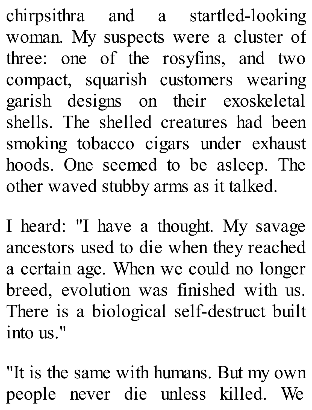chirpsithra and a startled-looking woman. My suspects were a cluster of three: one of the rosyfins, and two compact, squarish customers wearing garish designs on their exoskeletal shells. The shelled creatures had been smoking tobacco cigars under exhaust hoods. One seemed to be asleep. The other waved stubby arms as it talked.

I heard: "I have a thought. My savage ancestors used to die when they reached a certain age. When we could no longer breed, evolution was finished with us. There is a biological self-destruct built into us."

"It is the same with humans. But my own people never die unless killed. We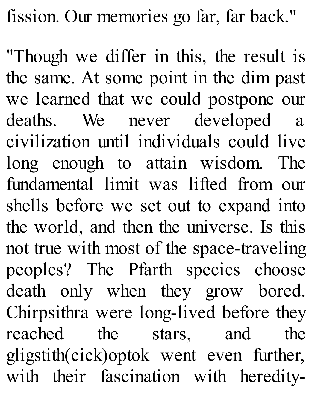fission. Our memories go far, far back."

"Though we differ in this, the result is the same. At some point in the dim past we learned that we could postpone our deaths. We never developed a civilization until individuals could live long enough to attain wisdom. The fundamental limit was lifted from our shells before we set out to expand into the world, and then the universe. Is this not true with most of the space-traveling peoples? The Pfarth species choose death only when they grow bored. Chirpsithra were long-lived before they reached the stars, and the gligstith(cick)optok went even further, with their fascination with heredity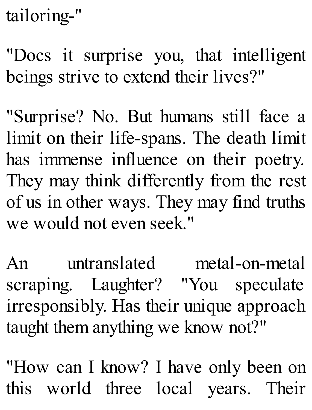tailoring-"

"Docs it surprise you, that intelligent beings strive to extend their lives?"

"Surprise? No. But humans still face a limit on their life-spans. The death limit has immense influence on their poetry. They may think differently from the rest of us in other ways. They may find truths we would not even seek "

An untranslated metal-on-metal scraping. Laughter? "You speculate irresponsibly. Has their unique approach taught them anything we know not?"

"How can I know? I have only been on this world three local years. Their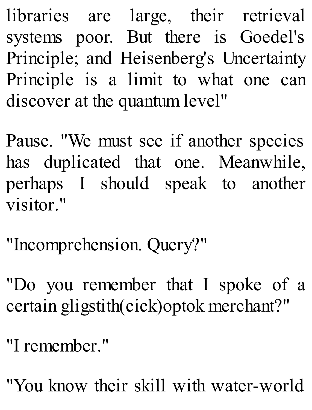libraries are large, their retrieval systems poor. But there is Goedel's Principle; and Heisenberg's Uncertainty Principle is a limit to what one can discover at the quantum level"

Pause. "We must see if another species has duplicated that one. Meanwhile, perhaps I should speak to another visitor."

"Incomprehension. Query?"

"Do you remember that I spoke of a certain gligstith(cick)optok merchant?"

"I remember."

"You know their skill with water-world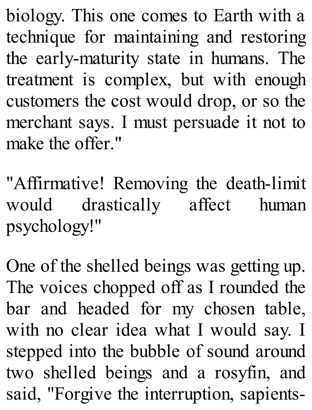biology. This one comes to Earth with a technique for maintaining and restoring the early-maturity state in humans. The treatment is complex, but with enough customers the cost would drop, or so the merchant says. I must persuade it not to make the offer."

"Affirmative! Removing the death-limit would drastically affect human psychology!"

One of the shelled beings was getting up. The voices chopped off as I rounded the bar and headed for my chosen table, with no clear idea what I would say. I stepped into the bubble of sound around two shelled beings and a rosyfin, and said, "Forgive the interruption, sapients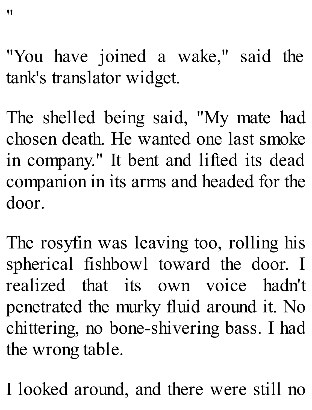"You have joined a wake," said the tank's translator widget.

The shelled being said, "My mate had chosen death. He wanted one last smoke in company." It bent and lifted its dead companion in its arms and headed for the door.

The rosyfin was leaving too, rolling his spherical fishbowl toward the door. I realized that its own voice hadn't penetrated the murky fluid around it. No chittering, no bone-shivering bass. I had the wrong table.

I looked around, and there were still no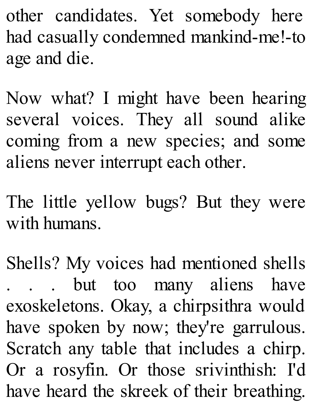other candidates. Yet somebody here had casually condemned mankind-me!-to age and die.

Now what? I might have been hearing several voices. They all sound alike coming from a new species; and some aliens never interrupt each other.

The little yellow bugs? But they were with humans.

Shells? My voices had mentioned shells . . . but too many aliens have exoskeletons. Okay, a chirpsithra would have spoken by now; they're garrulous. Scratch any table that includes a chirp. Or a rosyfin. Or those srivinthish: I'd have heard the skreek of their breathing.